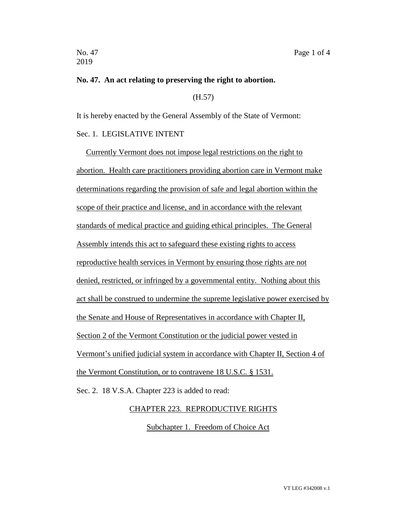2019

#### **No. 47. An act relating to preserving the right to abortion.**

(H.57)

It is hereby enacted by the General Assembly of the State of Vermont:

## Sec. 1. LEGISLATIVE INTENT

Currently Vermont does not impose legal restrictions on the right to abortion. Health care practitioners providing abortion care in Vermont make determinations regarding the provision of safe and legal abortion within the scope of their practice and license, and in accordance with the relevant standards of medical practice and guiding ethical principles. The General Assembly intends this act to safeguard these existing rights to access reproductive health services in Vermont by ensuring those rights are not denied, restricted, or infringed by a governmental entity. Nothing about this act shall be construed to undermine the supreme legislative power exercised by the Senate and House of Representatives in accordance with Chapter II, Section 2 of the Vermont Constitution or the judicial power vested in Vermont's unified judicial system in accordance with Chapter II, Section 4 of the Vermont Constitution, or to contravene 18 U.S.C. § 1531.

Sec. 2. 18 V.S.A. Chapter 223 is added to read:

### CHAPTER 223. REPRODUCTIVE RIGHTS

Subchapter 1. Freedom of Choice Act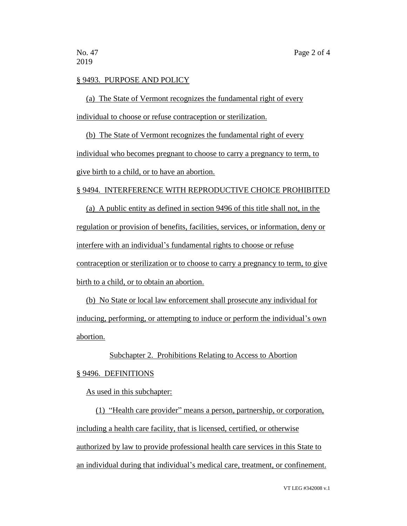### § 9493. PURPOSE AND POLICY

(a) The State of Vermont recognizes the fundamental right of every individual to choose or refuse contraception or sterilization.

(b) The State of Vermont recognizes the fundamental right of every individual who becomes pregnant to choose to carry a pregnancy to term, to give birth to a child, or to have an abortion.

## § 9494. INTERFERENCE WITH REPRODUCTIVE CHOICE PROHIBITED

(a) A public entity as defined in section 9496 of this title shall not, in the regulation or provision of benefits, facilities, services, or information, deny or interfere with an individual's fundamental rights to choose or refuse contraception or sterilization or to choose to carry a pregnancy to term, to give birth to a child, or to obtain an abortion.

(b) No State or local law enforcement shall prosecute any individual for inducing, performing, or attempting to induce or perform the individual's own abortion.

#### Subchapter 2. Prohibitions Relating to Access to Abortion

### § 9496. DEFINITIONS

As used in this subchapter:

(1) "Health care provider" means a person, partnership, or corporation, including a health care facility, that is licensed, certified, or otherwise authorized by law to provide professional health care services in this State to an individual during that individual's medical care, treatment, or confinement.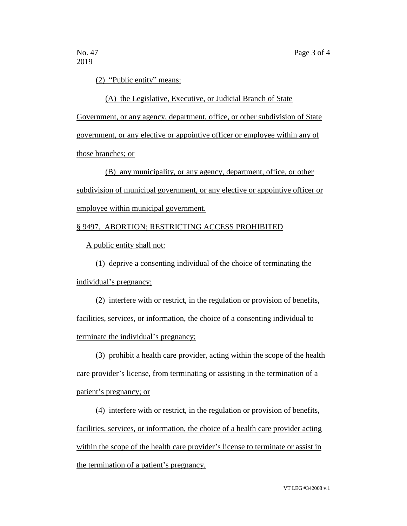2019

(2) "Public entity" means:

(A) the Legislative, Executive, or Judicial Branch of State Government, or any agency, department, office, or other subdivision of State government, or any elective or appointive officer or employee within any of those branches; or

(B) any municipality, or any agency, department, office, or other subdivision of municipal government, or any elective or appointive officer or employee within municipal government.

## § 9497. ABORTION; RESTRICTING ACCESS PROHIBITED

A public entity shall not:

(1) deprive a consenting individual of the choice of terminating the individual's pregnancy;

(2) interfere with or restrict, in the regulation or provision of benefits, facilities, services, or information, the choice of a consenting individual to terminate the individual's pregnancy;

(3) prohibit a health care provider, acting within the scope of the health care provider's license, from terminating or assisting in the termination of a patient's pregnancy; or

(4) interfere with or restrict, in the regulation or provision of benefits, facilities, services, or information, the choice of a health care provider acting within the scope of the health care provider's license to terminate or assist in the termination of a patient's pregnancy.